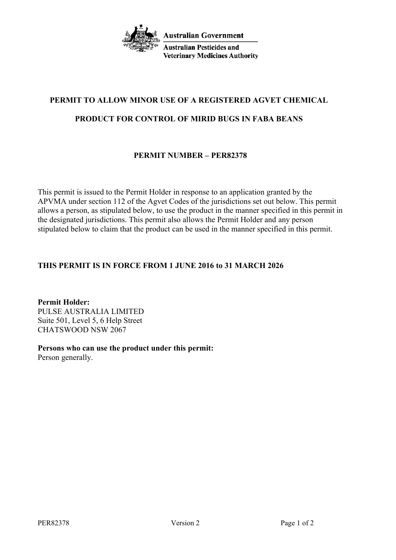

# **PERMIT TO ALLOW MINOR USE OF A REGISTERED AGVET CHEMICAL PRODUCT FOR CONTROL OF MIRID BUGS IN FABA BEANS**

# **PERMIT NUMBER – PER82378**

This permit is issued to the Permit Holder in response to an application granted by the APVMA under section 112 of the Agvet Codes of the jurisdictions set out below. This permit allows a person, as stipulated below, to use the product in the manner specified in this permit in the designated jurisdictions. This permit also allows the Permit Holder and any person stipulated below to claim that the product can be used in the manner specified in this permit.

# **THIS PERMIT IS IN FORCE FROM 1 JUNE 2016 to 31 MARCH 2026**

**Permit Holder:** PULSE AUSTRALIA LIMITED Suite 501, Level 5, 6 Help Street CHATSWOOD NSW 2067

**Persons who can use the product under this permit:** Person generally.